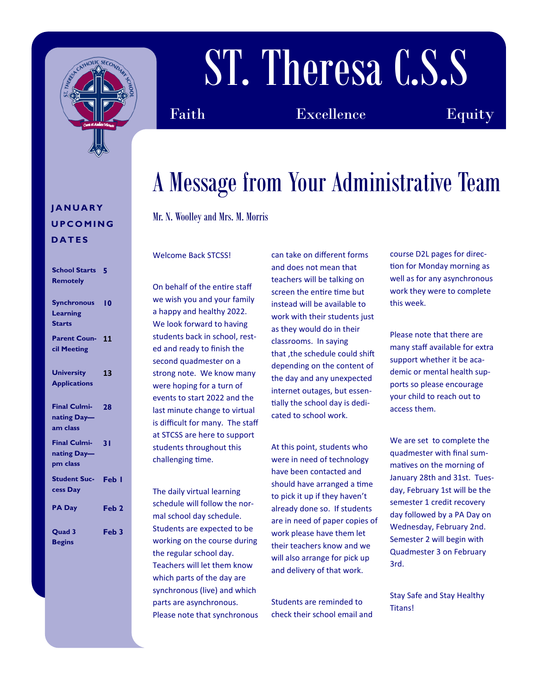

# ST. Theresa C.S.S

Faith Excellence Equity

### A Message from Your Administrative Team

Mr. N. Woolley and Mrs. M. Morris

#### Welcome Back STCSS!

On behalf of the entire staff we wish you and your family a happy and healthy 2022. We look forward to having students back in school, rested and ready to finish the second quadmester on a strong note. We know many were hoping for a turn of events to start 2022 and the last minute change to virtual is difficult for many. The staff at STCSS are here to support students throughout this challenging time.

The daily virtual learning schedule will follow the normal school day schedule. Students are expected to be working on the course during the regular school day. Teachers will let them know which parts of the day are synchronous (live) and which parts are asynchronous. Please note that synchronous can take on different forms and does not mean that teachers will be talking on screen the entire time but instead will be available to work with their students just as they would do in their classrooms. In saying that ,the schedule could shift depending on the content of the day and any unexpected internet outages, but essentially the school day is dedicated to school work.

At this point, students who were in need of technology have been contacted and should have arranged a time to pick it up if they haven't already done so. If students are in need of paper copies of work please have them let their teachers know and we will also arrange for pick up and delivery of that work.

Students are reminded to check their school email and course D2L pages for direction for Monday morning as well as for any asynchronous work they were to complete this week.

Please note that there are many staff available for extra support whether it be academic or mental health supports so please encourage your child to reach out to access them.

We are set to complete the quadmester with final summatives on the morning of January 28th and 31st. Tuesday, February 1st will be the semester 1 credit recovery day followed by a PA Day on Wednesday, February 2nd. Semester 2 will begin with Quadmester 3 on February 3rd.

Stay Safe and Stay Healthy Titans!

#### **J A N U A R Y U P C O M I N G D A T E S**

**School Starts 5**

| <b>Remotely</b>                                 |                  |
|-------------------------------------------------|------------------|
| <b>Synchronous</b><br>Learning<br><b>Starts</b> | 10               |
| <b>Parent Coun-</b><br>cil Meeting              | 11               |
| <b>University</b><br><b>Applications</b>        | 13               |
| <b>Final Culmi-</b><br>nating Day-<br>am class  | 28               |
| <b>Final Culmi-</b><br>nating Day-<br>pm class  | 31               |
| <b>Student Suc-</b><br>cess Day                 | Feb I            |
| <b>PA Day</b>                                   | Feb <sub>2</sub> |
| Quad 3<br><b>Begins</b>                         | Feb <sub>3</sub> |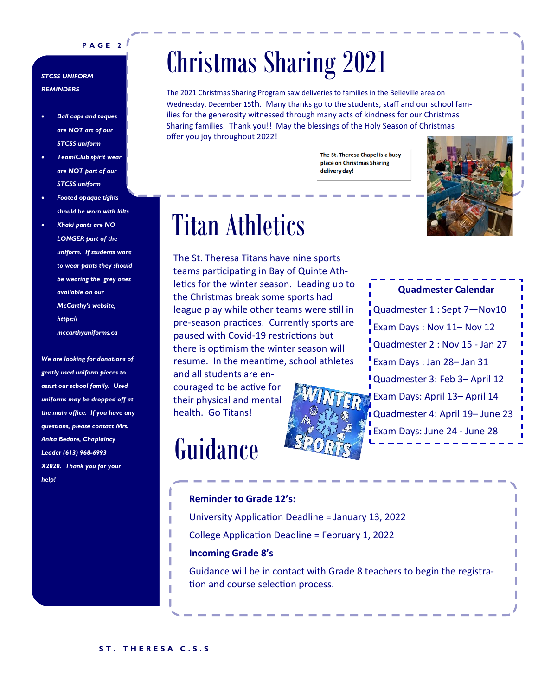#### **P A G E 2**

#### *STCSS UNIFORM REMINDERS*

- *Ball caps and toques are NOT art of our STCSS uniform*
- *Team/Club spirit wear are NOT part of our STCSS uniform*
- *Footed opaque tights should be worn with kilts*
- *Khaki pants are NO LONGER part of the uniform. If students want to wear pants they should be wearing the grey ones available on our McCarthy's website, https:// mccarthyuniforms.ca*

*We are looking for donations of gently used uniform pieces to assist our school family. Used uniforms may be dropped off at the main office. If you have any questions, please contact Mrs. Anita Bedore, Chaplaincy Leader (613) 968-6993 X2020. Thank you for your help!*

### Christmas Sharing 2021

The 2021 Christmas Sharing Program saw deliveries to families in the Belleville area on Wednesday, December 15th. Many thanks go to the students, staff and our school families for the generosity witnessed through many acts of kindness for our Christmas Sharing families. Thank you!! May the blessings of the Holy Season of Christmas offer you joy throughout 2022!

> The St. Theresa Chapel is a busy place on Christmas Sharing delivery day!



#### Titan Athletics

The St. Theresa Titans have nine sports teams participating in Bay of Quinte Athletics for the winter season. Leading up to the Christmas break some sports had league play while other teams were still in pre-season practices. Currently sports are paused with Covid-19 restrictions but there is optimism the winter season will resume. In the meantime, school athletes and all students are en-

couraged to be active for their physical and mental health. Go Titans!

### Guidance



**Quadmester Calendar** Quadmester 1 : Sept 7—Nov10 Exam Days : Nov 11– Nov 12 Quadmester 2 : Nov 15 - Jan 27 Exam Days : Jan 28– Jan 31 Quadmester 3: Feb 3– April 12 Exam Days: April 13– April 14 Quadmester 4: April 19– June 23 Exam Days: June 24 - June 28

#### **Reminder to Grade 12's:** University Application Deadline = January 13, 2022 College Application Deadline = February 1, 2022 **Incoming Grade 8's**

Guidance will be in contact with Grade 8 teachers to begin the registration and course selection process.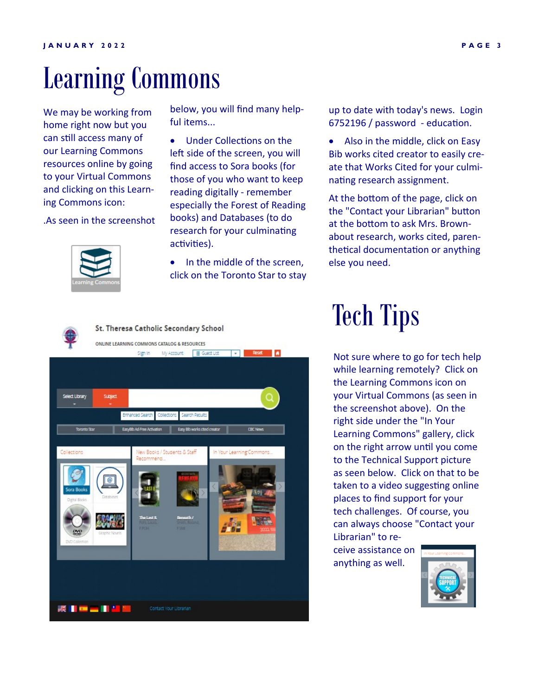### Learning Commons

We may be working from home right now but you can still access many of our Learning Commons resources online by going to your Virtual Commons and clicking on this Learning Commons icon:

.As seen in the screenshot



below, you will find many helpful items...

• Under Collections on the left side of the screen, you will find access to Sora books (for those of you who want to keep reading digitally - remember especially the Forest of Reading books) and Databases (to do research for your culminating activities).

In the middle of the screen. click on the Toronto Star to stay up to date with today's news. Login 6752196 / password - education.

• Also in the middle, click on Easy Bib works cited creator to easily create that Works Cited for your culminating research assignment.

At the bottom of the page, click on the "Contact your Librarian" button at the bottom to ask Mrs. Brownabout research, works cited, parenthetical documentation or anything else you need.



### Tech Tips

Not sure where to go for tech help while learning remotely? Click on the Learning Commons icon on your Virtual Commons (as seen in the screenshot above). On the right side under the "In Your Learning Commons" gallery, click on the right arrow until you come to the Technical Support picture as seen below. Click on that to be taken to a video suggesting online places to find support for your tech challenges. Of course, you can always choose "Contact your Librarian" to re-

ceive assistance on anything as well.